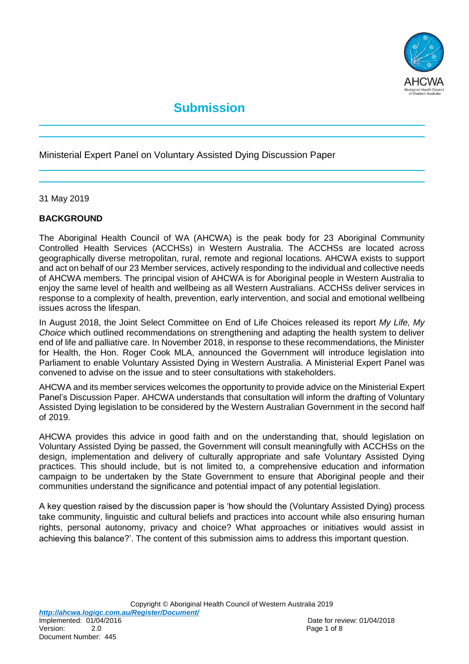

# **Submission**

Ministerial Expert Panel on Voluntary Assisted Dying Discussion Paper

31 May 2019

## **BACKGROUND**

The Aboriginal Health Council of WA (AHCWA) is the peak body for 23 Aboriginal Community Controlled Health Services (ACCHSs) in Western Australia. The ACCHSs are located across geographically diverse metropolitan, rural, remote and regional locations. AHCWA exists to support and act on behalf of our 23 Member services, actively responding to the individual and collective needs of AHCWA members. The principal vision of AHCWA is for Aboriginal people in Western Australia to enjoy the same level of health and wellbeing as all Western Australians. ACCHSs deliver services in response to a complexity of health, prevention, early intervention, and social and emotional wellbeing issues across the lifespan.

In August 2018, the Joint Select Committee on End of Life Choices released its report *My Life, My Choice* which outlined recommendations on strengthening and adapting the health system to deliver end of life and palliative care. In November 2018, in response to these recommendations, the Minister for Health, the Hon. Roger Cook MLA, announced the Government will introduce legislation into Parliament to enable Voluntary Assisted Dying in Western Australia. A Ministerial Expert Panel was convened to advise on the issue and to steer consultations with stakeholders.

AHCWA and its member services welcomes the opportunity to provide advice on the Ministerial Expert Panel's Discussion Paper. AHCWA understands that consultation will inform the drafting of Voluntary Assisted Dying legislation to be considered by the Western Australian Government in the second half of 2019.

AHCWA provides this advice in good faith and on the understanding that, should legislation on Voluntary Assisted Dying be passed, the Government will consult meaningfully with ACCHSs on the design, implementation and delivery of culturally appropriate and safe Voluntary Assisted Dying practices. This should include, but is not limited to, a comprehensive education and information campaign to be undertaken by the State Government to ensure that Aboriginal people and their communities understand the significance and potential impact of any potential legislation.

A key question raised by the discussion paper is 'how should the (Voluntary Assisted Dying) process take community, linguistic and cultural beliefs and practices into account while also ensuring human rights, personal autonomy, privacy and choice? What approaches or initiatives would assist in achieving this balance?'. The content of this submission aims to address this important question.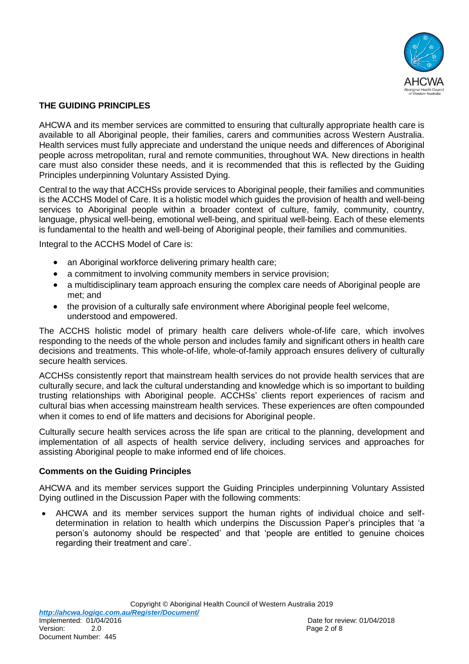

## **THE GUIDING PRINCIPLES**

AHCWA and its member services are committed to ensuring that culturally appropriate health care is available to all Aboriginal people, their families, carers and communities across Western Australia. Health services must fully appreciate and understand the unique needs and differences of Aboriginal people across metropolitan, rural and remote communities, throughout WA. New directions in health care must also consider these needs, and it is recommended that this is reflected by the Guiding Principles underpinning Voluntary Assisted Dying.

Central to the way that ACCHSs provide services to Aboriginal people, their families and communities is the ACCHS Model of Care. It is a holistic model which guides the provision of health and well-being services to Aboriginal people within a broader context of culture, family, community, country, language, physical well-being, emotional well-being, and spiritual well-being. Each of these elements is fundamental to the health and well-being of Aboriginal people, their families and communities.

Integral to the ACCHS Model of Care is:

- an Aboriginal workforce delivering primary health care;
- a commitment to involving community members in service provision;
- a multidisciplinary team approach ensuring the complex care needs of Aboriginal people are met; and
- the provision of a culturally safe environment where Aboriginal people feel welcome, understood and empowered.

The ACCHS holistic model of primary health care delivers whole-of-life care, which involves responding to the needs of the whole person and includes family and significant others in health care decisions and treatments. This whole-of-life, whole-of-family approach ensures delivery of culturally secure health services.

ACCHSs consistently report that mainstream health services do not provide health services that are culturally secure, and lack the cultural understanding and knowledge which is so important to building trusting relationships with Aboriginal people. ACCHSs' clients report experiences of racism and cultural bias when accessing mainstream health services. These experiences are often compounded when it comes to end of life matters and decisions for Aboriginal people.

Culturally secure health services across the life span are critical to the planning, development and implementation of all aspects of health service delivery, including services and approaches for assisting Aboriginal people to make informed end of life choices.

## **Comments on the Guiding Principles**

AHCWA and its member services support the Guiding Principles underpinning Voluntary Assisted Dying outlined in the Discussion Paper with the following comments:

 AHCWA and its member services support the human rights of individual choice and selfdetermination in relation to health which underpins the Discussion Paper's principles that 'a person's autonomy should be respected' and that 'people are entitled to genuine choices regarding their treatment and care'.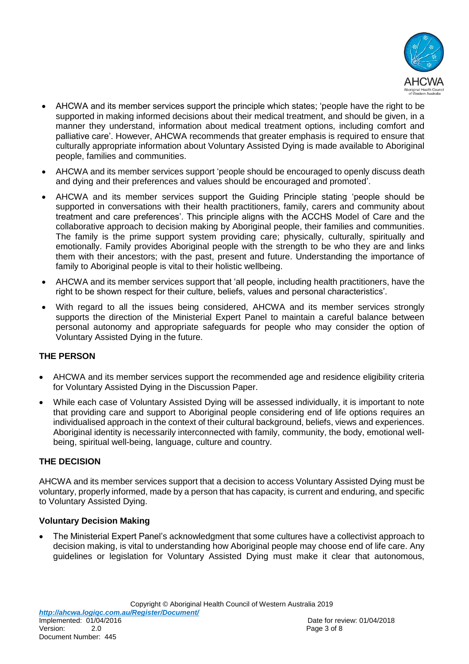

- AHCWA and its member services support the principle which states; 'people have the right to be supported in making informed decisions about their medical treatment, and should be given, in a manner they understand, information about medical treatment options, including comfort and palliative care'. However, AHCWA recommends that greater emphasis is required to ensure that culturally appropriate information about Voluntary Assisted Dying is made available to Aboriginal people, families and communities.
- AHCWA and its member services support 'people should be encouraged to openly discuss death and dying and their preferences and values should be encouraged and promoted'.
- AHCWA and its member services support the Guiding Principle stating 'people should be supported in conversations with their health practitioners, family, carers and community about treatment and care preferences'. This principle aligns with the ACCHS Model of Care and the collaborative approach to decision making by Aboriginal people, their families and communities. The family is the prime support system providing care; physically, culturally, spiritually and emotionally. Family provides Aboriginal people with the strength to be who they are and links them with their ancestors; with the past, present and future. Understanding the importance of family to Aboriginal people is vital to their holistic wellbeing.
- AHCWA and its member services support that 'all people, including health practitioners, have the right to be shown respect for their culture, beliefs, values and personal characteristics'.
- With regard to all the issues being considered, AHCWA and its member services strongly supports the direction of the Ministerial Expert Panel to maintain a careful balance between personal autonomy and appropriate safeguards for people who may consider the option of Voluntary Assisted Dying in the future.

## **THE PERSON**

- AHCWA and its member services support the recommended age and residence eligibility criteria for Voluntary Assisted Dying in the Discussion Paper.
- While each case of Voluntary Assisted Dying will be assessed individually, it is important to note that providing care and support to Aboriginal people considering end of life options requires an individualised approach in the context of their cultural background, beliefs, views and experiences. Aboriginal identity is necessarily interconnected with family, community, the body, emotional wellbeing, spiritual well-being, language, culture and country.

## **THE DECISION**

AHCWA and its member services support that a decision to access Voluntary Assisted Dying must be voluntary, properly informed, made by a person that has capacity, is current and enduring, and specific to Voluntary Assisted Dying.

## **Voluntary Decision Making**

 The Ministerial Expert Panel's acknowledgment that some cultures have a collectivist approach to decision making, is vital to understanding how Aboriginal people may choose end of life care. Any guidelines or legislation for Voluntary Assisted Dying must make it clear that autonomous,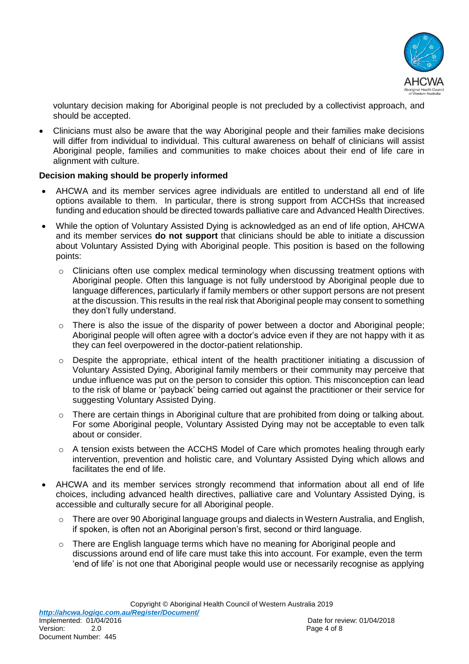

voluntary decision making for Aboriginal people is not precluded by a collectivist approach, and should be accepted.

 Clinicians must also be aware that the way Aboriginal people and their families make decisions will differ from individual to individual. This cultural awareness on behalf of clinicians will assist Aboriginal people, families and communities to make choices about their end of life care in alignment with culture.

#### **Decision making should be properly informed**

- AHCWA and its member services agree individuals are entitled to understand all end of life options available to them. In particular, there is strong support from ACCHSs that increased funding and education should be directed towards palliative care and Advanced Health Directives.
- While the option of Voluntary Assisted Dying is acknowledged as an end of life option, AHCWA and its member services **do not support** that clinicians should be able to initiate a discussion about Voluntary Assisted Dying with Aboriginal people. This position is based on the following points:
	- o Clinicians often use complex medical terminology when discussing treatment options with Aboriginal people. Often this language is not fully understood by Aboriginal people due to language differences, particularly if family members or other support persons are not present at the discussion. This results in the real risk that Aboriginal people may consent to something they don't fully understand.
	- $\circ$  There is also the issue of the disparity of power between a doctor and Aboriginal people; Aboriginal people will often agree with a doctor's advice even if they are not happy with it as they can feel overpowered in the doctor-patient relationship.
	- $\circ$  Despite the appropriate, ethical intent of the health practitioner initiating a discussion of Voluntary Assisted Dying, Aboriginal family members or their community may perceive that undue influence was put on the person to consider this option. This misconception can lead to the risk of blame or 'payback' being carried out against the practitioner or their service for suggesting Voluntary Assisted Dying.
	- o There are certain things in Aboriginal culture that are prohibited from doing or talking about. For some Aboriginal people, Voluntary Assisted Dying may not be acceptable to even talk about or consider.
	- $\circ$  A tension exists between the ACCHS Model of Care which promotes healing through early intervention, prevention and holistic care, and Voluntary Assisted Dying which allows and facilitates the end of life.
- AHCWA and its member services strongly recommend that information about all end of life choices, including advanced health directives, palliative care and Voluntary Assisted Dying, is accessible and culturally secure for all Aboriginal people.
	- o There are over 90 Aboriginal language groups and dialects in Western Australia, and English, if spoken, is often not an Aboriginal person's first, second or third language.
	- $\circ$  There are English language terms which have no meaning for Aboriginal people and discussions around end of life care must take this into account. For example, even the term 'end of life' is not one that Aboriginal people would use or necessarily recognise as applying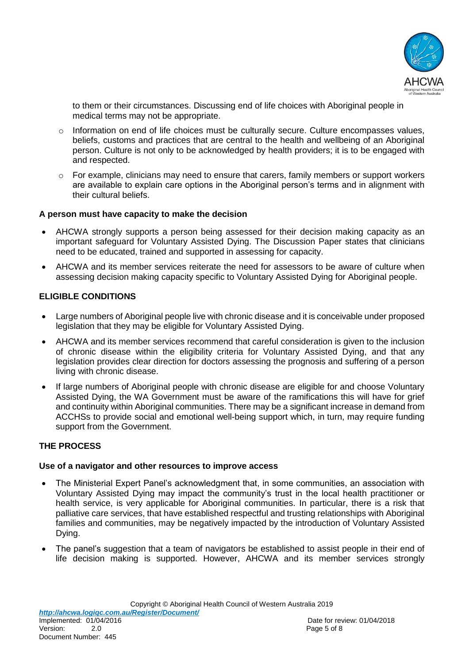

to them or their circumstances. Discussing end of life choices with Aboriginal people in medical terms may not be appropriate.

- o Information on end of life choices must be culturally secure. Culture encompasses values, beliefs, customs and practices that are central to the health and wellbeing of an Aboriginal person. Culture is not only to be acknowledged by health providers; it is to be engaged with and respected.
- $\circ$  For example, clinicians may need to ensure that carers, family members or support workers are available to explain care options in the Aboriginal person's terms and in alignment with their cultural beliefs.

#### **A person must have capacity to make the decision**

- AHCWA strongly supports a person being assessed for their decision making capacity as an important safeguard for Voluntary Assisted Dying. The Discussion Paper states that clinicians need to be educated, trained and supported in assessing for capacity.
- AHCWA and its member services reiterate the need for assessors to be aware of culture when assessing decision making capacity specific to Voluntary Assisted Dying for Aboriginal people.

## **ELIGIBLE CONDITIONS**

- Large numbers of Aboriginal people live with chronic disease and it is conceivable under proposed legislation that they may be eligible for Voluntary Assisted Dying.
- AHCWA and its member services recommend that careful consideration is given to the inclusion of chronic disease within the eligibility criteria for Voluntary Assisted Dying, and that any legislation provides clear direction for doctors assessing the prognosis and suffering of a person living with chronic disease.
- If large numbers of Aboriginal people with chronic disease are eligible for and choose Voluntary Assisted Dying, the WA Government must be aware of the ramifications this will have for grief and continuity within Aboriginal communities. There may be a significant increase in demand from ACCHSs to provide social and emotional well-being support which, in turn, may require funding support from the Government.

## **THE PROCESS**

#### **Use of a navigator and other resources to improve access**

- The Ministerial Expert Panel's acknowledgment that, in some communities, an association with Voluntary Assisted Dying may impact the community's trust in the local health practitioner or health service, is very applicable for Aboriginal communities. In particular, there is a risk that palliative care services, that have established respectful and trusting relationships with Aboriginal families and communities, may be negatively impacted by the introduction of Voluntary Assisted Dying.
- The panel's suggestion that a team of navigators be established to assist people in their end of life decision making is supported. However, AHCWA and its member services strongly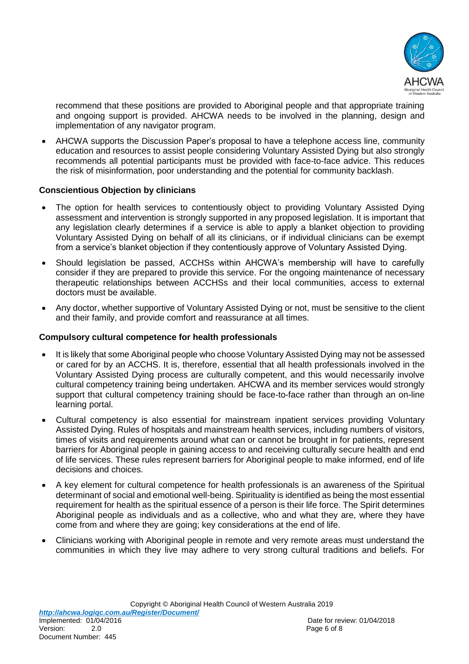

recommend that these positions are provided to Aboriginal people and that appropriate training and ongoing support is provided. AHCWA needs to be involved in the planning, design and implementation of any navigator program.

 AHCWA supports the Discussion Paper's proposal to have a telephone access line, community education and resources to assist people considering Voluntary Assisted Dying but also strongly recommends all potential participants must be provided with face-to-face advice. This reduces the risk of misinformation, poor understanding and the potential for community backlash.

## **Conscientious Objection by clinicians**

- The option for health services to contentiously object to providing Voluntary Assisted Dying assessment and intervention is strongly supported in any proposed legislation. It is important that any legislation clearly determines if a service is able to apply a blanket objection to providing Voluntary Assisted Dying on behalf of all its clinicians, or if individual clinicians can be exempt from a service's blanket objection if they contentiously approve of Voluntary Assisted Dying.
- Should legislation be passed, ACCHSs within AHCWA's membership will have to carefully consider if they are prepared to provide this service. For the ongoing maintenance of necessary therapeutic relationships between ACCHSs and their local communities, access to external doctors must be available.
- Any doctor, whether supportive of Voluntary Assisted Dying or not, must be sensitive to the client and their family, and provide comfort and reassurance at all times.

#### **Compulsory cultural competence for health professionals**

- It is likely that some Aboriginal people who choose Voluntary Assisted Dying may not be assessed or cared for by an ACCHS. It is, therefore, essential that all health professionals involved in the Voluntary Assisted Dying process are culturally competent, and this would necessarily involve cultural competency training being undertaken. AHCWA and its member services would strongly support that cultural competency training should be face-to-face rather than through an on-line learning portal.
- Cultural competency is also essential for mainstream inpatient services providing Voluntary Assisted Dying. Rules of hospitals and mainstream health services, including numbers of visitors, times of visits and requirements around what can or cannot be brought in for patients, represent barriers for Aboriginal people in gaining access to and receiving culturally secure health and end of life services. These rules represent barriers for Aboriginal people to make informed, end of life decisions and choices.
- A key element for cultural competence for health professionals is an awareness of the Spiritual determinant of social and emotional well-being. Spirituality is identified as being the most essential requirement for health as the spiritual essence of a person is their life force. The Spirit determines Aboriginal people as individuals and as a collective, who and what they are, where they have come from and where they are going; key considerations at the end of life.
- Clinicians working with Aboriginal people in remote and very remote areas must understand the communities in which they live may adhere to very strong cultural traditions and beliefs. For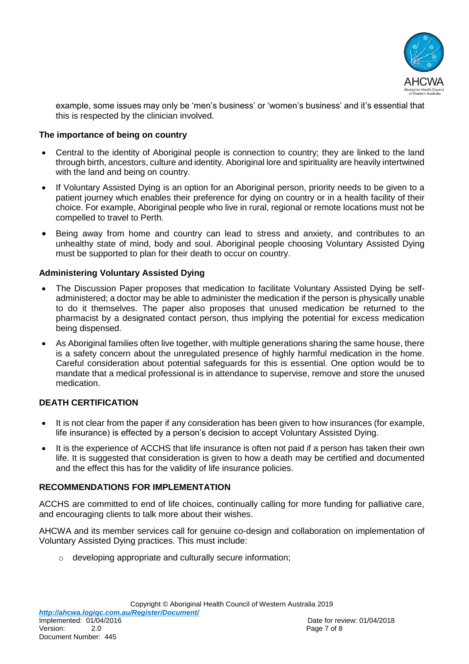

example, some issues may only be 'men's business' or 'women's business' and it's essential that this is respected by the clinician involved.

#### **The importance of being on country**

- Central to the identity of Aboriginal people is connection to country; they are linked to the land through birth, ancestors, culture and identity. Aboriginal lore and spirituality are heavily intertwined with the land and being on country.
- If Voluntary Assisted Dying is an option for an Aboriginal person, priority needs to be given to a patient journey which enables their preference for dying on country or in a health facility of their choice. For example, Aboriginal people who live in rural, regional or remote locations must not be compelled to travel to Perth.
- Being away from home and country can lead to stress and anxiety, and contributes to an unhealthy state of mind, body and soul. Aboriginal people choosing Voluntary Assisted Dying must be supported to plan for their death to occur on country.

#### **Administering Voluntary Assisted Dying**

- The Discussion Paper proposes that medication to facilitate Voluntary Assisted Dying be selfadministered; a doctor may be able to administer the medication if the person is physically unable to do it themselves. The paper also proposes that unused medication be returned to the pharmacist by a designated contact person, thus implying the potential for excess medication being dispensed.
- As Aboriginal families often live together, with multiple generations sharing the same house, there is a safety concern about the unregulated presence of highly harmful medication in the home. Careful consideration about potential safeguards for this is essential. One option would be to mandate that a medical professional is in attendance to supervise, remove and store the unused medication.

#### **DEATH CERTIFICATION**

- It is not clear from the paper if any consideration has been given to how insurances (for example, life insurance) is effected by a person's decision to accept Voluntary Assisted Dying.
- It is the experience of ACCHS that life insurance is often not paid if a person has taken their own life. It is suggested that consideration is given to how a death may be certified and documented and the effect this has for the validity of life insurance policies.

#### **RECOMMENDATIONS FOR IMPLEMENTATION**

ACCHS are committed to end of life choices, continually calling for more funding for palliative care, and encouraging clients to talk more about their wishes.

AHCWA and its member services call for genuine co-design and collaboration on implementation of Voluntary Assisted Dying practices. This must include:

o developing appropriate and culturally secure information;